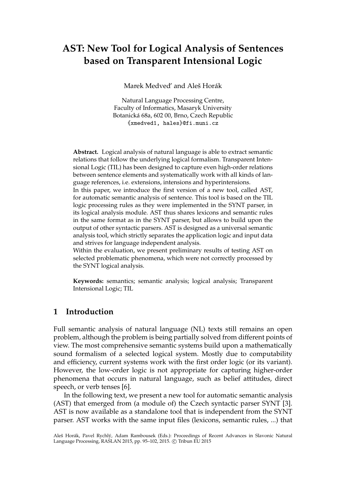# **AST: New Tool for Logical Analysis of Sentences based on Transparent Intensional Logic**

Marek Medved' and Aleš Horák

Natural Language Processing Centre, Faculty of Informatics, Masaryk University Botanická 68a, 602 00, Brno, Czech Republic {xmedved1, hales}@fi.muni.cz

**Abstract.** Logical analysis of natural language is able to extract semantic relations that follow the underlying logical formalism. Transparent Intensional Logic (TIL) has been designed to capture even high-order relations between sentence elements and systematically work with all kinds of language references, i.e. extensions, intensions and hyperintensions.

In this paper, we introduce the first version of a new tool, called AST, for automatic semantic analysis of sentence. This tool is based on the TIL logic processing rules as they were implemented in the SYNT parser, in its logical analysis module. AST thus shares lexicons and semantic rules in the same format as in the SYNT parser, but allows to build upon the output of other syntactic parsers. AST is designed as a universal semantic analysis tool, which strictly separates the application logic and input data and strives for language independent analysis.

Within the evaluation, we present preliminary results of testing AST on selected problematic phenomena, which were not correctly processed by the SYNT logical analysis.

**Keywords:** semantics; semantic analysis; logical analysis; Transparent Intensional Logic; TIL

#### **1 Introduction**

Full semantic analysis of natural language (NL) texts still remains an open problem, although the problem is being partially solved from different points of view. The most comprehensive semantic systems build upon a mathematically sound formalism of a selected logical system. Mostly due to computability and efficiency, current systems work with the first order logic (or its variant). However, the low-order logic is not appropriate for capturing higher-order phenomena that occurs in natural language, such as belief attitudes, direct speech, or verb tenses [6].

In the following text, we present a new tool for automatic semantic analysis (AST) that emerged from (a module of) the Czech syntactic parser SYNT [3]. AST is now available as a standalone tool that is independent from the SYNT parser. AST works with the same input files (lexicons, semantic rules, ...) that

Aleš Horák, Pavel Rychlý, Adam Rambousek (Eds.): Proceedings of Recent Advances in Slavonic Natural Language Processing, RASLAN 2015, pp. 95-102, 2015. © Tribun EU 2015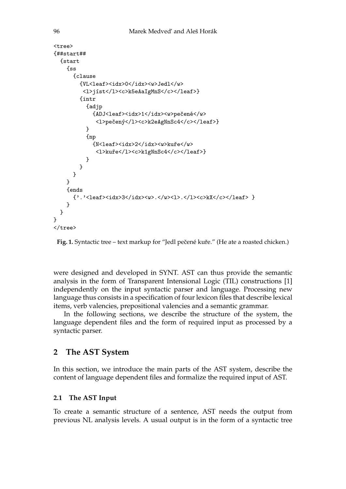```
<tree>
{##start##
  {start
    {f_{\rm SS}}{clause
        {VL<leaf><idx>0</idx><w>Jedl</w>
         <l>jíst</l><c>k5eAaIgMnS</c></leaf>}
        {intr
          {adjp
            {ADJ<leaf><idx>1</idx><w>pečené</w>
             <l>pečený</l><c>k2eAgNnSc4</c></leaf>}
          }
          {np
            {N<leaf><idx>2</idx><w>kuře</w>
              <l>kuře</l><c>k1gNnSc4</c></leaf>}
          }
        }
      }
    }
    {ends
      {'.'<leaf><idx>3</idx><w>.</w><l>.</l><c>kX</c></leaf> }
    }
  }
}
</tree>
```
Fig. 1. Syntactic tree – text markup for "Jedl pečené kuře." (He ate a roasted chicken.)

were designed and developed in SYNT. AST can thus provide the semantic analysis in the form of Transparent Intensional Logic (TIL) constructions [1] independently on the input syntactic parser and language. Processing new language thus consists in a specification of four lexicon files that describe lexical items, verb valencies, prepositional valencies and a semantic grammar.

In the following sections, we describe the structure of the system, the language dependent files and the form of required input as processed by a syntactic parser.

## **2 The AST System**

In this section, we introduce the main parts of the AST system, describe the content of language dependent files and formalize the required input of AST.

## **2.1 The AST Input**

To create a semantic structure of a sentence, AST needs the output from previous NL analysis levels. A usual output is in the form of a syntactic tree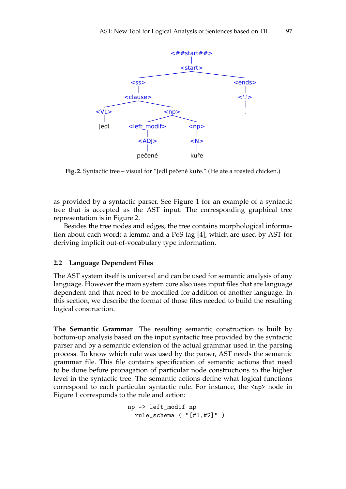

**Fig. 2.** Syntactic tree – visual for "Jedl pečené kuře." (He ate a roasted chicken.)

as provided by a syntactic parser. See Figure 1 for an example of a syntactic tree that is accepted as the AST input. The corresponding graphical tree representation is in Figure 2.

Besides the tree nodes and edges, the tree contains morphological information about each word: a lemma and a PoS tag [4], which are used by AST for deriving implicit out-of-vocabulary type information.

#### **2.2 Language Dependent Files**

The AST system itself is universal and can be used for semantic analysis of any language. However the main system core also uses input files that are language dependent and that need to be modified for addition of another language. In this section, we describe the format of those files needed to build the resulting logical construction.

**The Semantic Grammar** The resulting semantic construction is built by bottom-up analysis based on the input syntactic tree provided by the syntactic parser and by a semantic extension of the actual grammar used in the parsing process. To know which rule was used by the parser, AST needs the semantic grammar file. This file contains specification of semantic actions that need to be done before propagation of particular node constructions to the higher level in the syntactic tree. The semantic actions define what logical functions correspond to each particular syntactic rule. For instance, the <np> node in Figure 1 corresponds to the rule and action:

```
np -> left_modif np
  rule_schema ( "[#1,#2]" )
```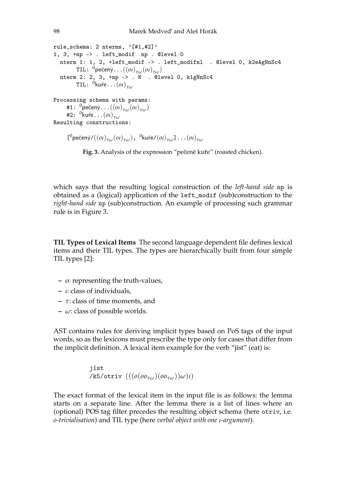```
rule_schema: 2 nterms, '[#1,#2]'
1, 3, +np -> . left_modif np . @level 0
  nterm 1: 1, 2, +left_modif -> . left_modifnl . @level 0, k2eAgNnSc4
        TIL: 0
pečený...((oι)
τω(oι)
τω)
 nterm 2: 2, 3, +np \rightarrow \overline{N} . @level 0, k1gNnSc4
        TIL: 0
kuře...(oι)
τω
Processing schema with params:
    #1: 0
pečený...((oι)
τω(oι)
τω)
    #2: 0
kuře...(oι)
τω
Resulting constructions:
```

```
[
0
pečený/((oι)
τω(oι)
τω),
0
kuře/(oι)
τω]...(oι)
τω
```
Fig. 3. Analysis of the expression "pečené kuře" (roasted chicken).

which says that the resulting logical construction of the *left-hand side* np is obtained as a (logical) application of the left\_modif (sub)construction to the *right-hand side* np (sub)construction. An example of processing such grammar rule is in Figure 3.

**TIL Types of Lexical Items** The second language dependent file defines lexical items and their TIL types. The types are hierarchically built from four simple TIL types [2]:

- **–** o: representing the truth-values,
- **–** *ι*: class of individuals,
- **–** *τ*: class of time moments, and
- **–** *ω*: class of possible worlds.

AST contains rules for deriving implicit types based on PoS tags of the input words, so as the lexicons must prescribe the type only for cases that differ from the implicit definition. A lexical item example for the verb "jíst" (eat) is:

```
jíst
/k5/otriv (((o(o \sigma_{\tau\omega})(o \sigma_{\tau\omega}))\omega)\iota)
```
The exact format of the lexical item in the input file is as follows: the lemma starts on a separate line. After the lemma there is a list of lines where an (optional) POS tag filter precedes the resulting object schema (here otriv, i.e. *o-trivialisation*) and TIL type (here *verbal object with one ι-argument*).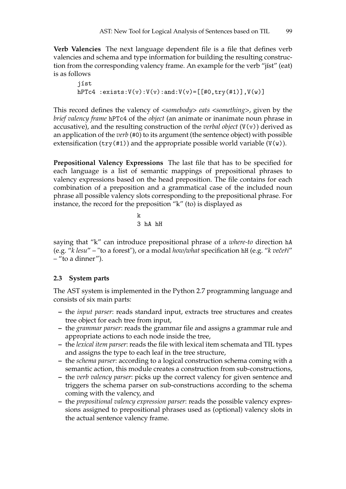**Verb Valencies** The next language dependent file is a file that defines verb valencies and schema and type information for building the resulting construction from the corresponding valency frame. An example for the verb "jíst" (eat) is as follows

jíst hPTc4 :exists: $V(v):V(v):and:V(v)=[[#0, try(*1)], V(w)]$ 

This record defines the valency of *<somebody> eats <something>*, given by the *brief valency frame* hPTc4 of the *object* (an animate or inanimate noun phrase in accusative), and the resulting construction of the *verbal object* (V(v)) derived as an application of the *verb* (#0) to its argument (the sentence object) with possible extensification (try(#1)) and the appropriate possible world variable  $(V(w))$ .

**Prepositional Valency Expressions** The last file that has to be specified for each language is a list of semantic mappings of prepositional phrases to valency expressions based on the head preposition. The file contains for each combination of a preposition and a grammatical case of the included noun phrase all possible valency slots corresponding to the prepositional phrase. For instance, the record for the preposition "k" (to) is displayed as

k 3 hA hH

saying that "k" can introduce prepositional phrase of a *where-to* direction hA (e.g. "*k lesu*" – "to a forest"), or a modal *how/what* specification hH (e.g. "*k veˇceˇri*" – "to a dinner").

#### **2.3 System parts**

The AST system is implemented in the Python 2.7 programming language and consists of six main parts:

- **–** the *input parser*: reads standard input, extracts tree structures and creates tree object for each tree from input,
- **–** the *grammar parser*: reads the grammar file and assigns a grammar rule and appropriate actions to each node inside the tree,
- **–** the *lexical item parser*: reads the file with lexical item schemata and TIL types and assigns the type to each leaf in the tree structure,
- **–** the *schema parser*: according to a logical construction schema coming with a semantic action, this module creates a construction from sub-constructions,
- **–** the *verb valency parser*: picks up the correct valency for given sentence and triggers the schema parser on sub-constructions according to the schema coming with the valency, and
- **–** the *prepositional valency expression parser*: reads the possible valency expressions assigned to prepositional phrases used as (optional) valency slots in the actual sentence valency frame.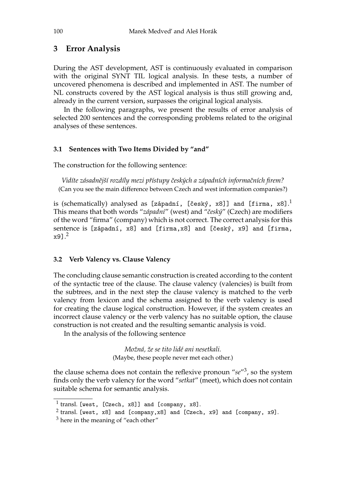## **3 Error Analysis**

During the AST development, AST is continuously evaluated in comparison with the original SYNT TIL logical analysis. In these tests, a number of uncovered phenomena is described and implemented in AST. The number of NL constructs covered by the AST logical analysis is thus still growing and, already in the current version, surpasses the original logical analysis.

In the following paragraphs, we present the results of error analysis of selected 200 sentences and the corresponding problems related to the original analyses of these sentences.

#### **3.1 Sentences with Two Items Divided by "and"**

The construction for the following sentence:

*Vidíte zásadnˇejší rozdíly mezi pˇrístupy ˇceských a západních informaˇcních firem?* (Can you see the main difference between Czech and west information companies?)

is (schematically) analysed as [západní, [český, x8]] and [firma, x8]. $^{\rm l}$ This means that both words "*západní*" (west) and "*ˇceský*" (Czech) are modifiers of the word "firma" (company) which is not correct. The correct analysis for this sentence is [západní, x8] and [firma,x8] and [český, x9] and [firma, x9]. 2

#### **3.2 Verb Valency vs. Clause Valency**

The concluding clause semantic construction is created according to the content of the syntactic tree of the clause. The clause valency (valencies) is built from the subtrees, and in the next step the clause valency is matched to the verb valency from lexicon and the schema assigned to the verb valency is used for creating the clause logical construction. However, if the system creates an incorrect clause valency or the verb valency has no suitable option, the clause construction is not created and the resulting semantic analysis is void.

In the analysis of the following sentence

*Možná, že se tito lidé ani nesetkali.* (Maybe, these people never met each other.)

the clause schema does not contain the reflexive pronoun "se<sup>"3</sup>, so the system finds only the verb valency for the word "*setkat*" (meet), which does not contain suitable schema for semantic analysis.

 $^1$  transl. [west, [Czech, x8]] and [company, x8].

 $^2$  transl. [west, x8] and [company,x8] and [Czech, x9] and [company, x9].

<sup>&</sup>lt;sup>3</sup> here in the meaning of "each other"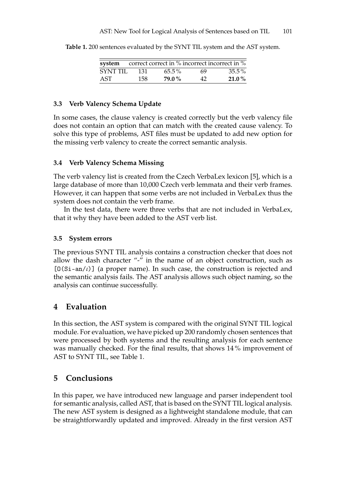|                 |      | system correct correct in % incorrect incorrect in % |    |          |
|-----------------|------|------------------------------------------------------|----|----------|
| <b>SYNT TIL</b> | -131 | $65.5\%$                                             | 69 | $35.5\%$ |
| AST             | 158  | <b>79.0%</b>                                         | 42 | $21.0\%$ |

**Table 1.** 200 sentences evaluated by the SYNT TIL system and the AST system.

#### **3.3 Verb Valency Schema Update**

In some cases, the clause valency is created correctly but the verb valency file does not contain an option that can match with the created cause valency. To solve this type of problems, AST files must be updated to add new option for the missing verb valency to create the correct semantic analysis.

#### **3.4 Verb Valency Schema Missing**

The verb valency list is created from the Czech VerbaLex lexicon [5], which is a large database of more than 10,000 Czech verb lemmata and their verb frames. However, it can happen that some verbs are not included in VerbaLex thus the system does not contain the verb frame.

In the test data, there were three verbs that are not included in VerbaLex, that it why they have been added to the AST verb list.

#### **3.5 System errors**

The previous SYNT TIL analysis contains a construction checker that does not allow the dash character "-" in the name of an object construction, such as [0(Si-an/*ι*)] (a proper name). In such case, the construction is rejected and the semantic analysis fails. The AST analysis allows such object naming, so the analysis can continue successfully.

## **4 Evaluation**

In this section, the AST system is compared with the original SYNT TIL logical module. For evaluation, we have picked up 200 randomly chosen sentences that were processed by both systems and the resulting analysis for each sentence was manually checked. For the final results, that shows 14 % improvement of AST to SYNT TIL, see Table 1.

## **5 Conclusions**

In this paper, we have introduced new language and parser independent tool for semantic analysis, called AST, that is based on the SYNT TIL logical analysis. The new AST system is designed as a lightweight standalone module, that can be straightforwardly updated and improved. Already in the first version AST